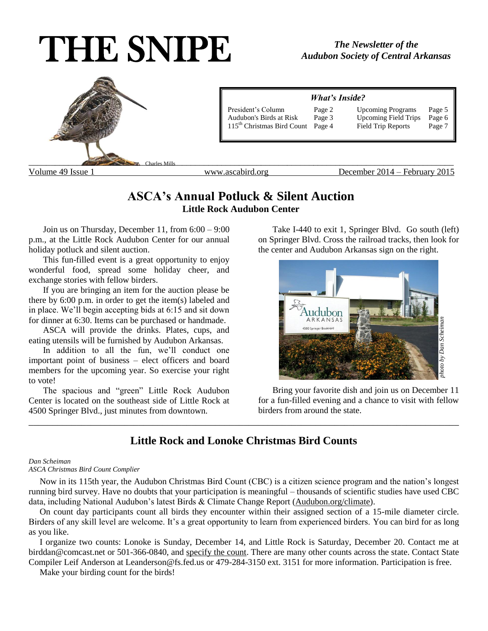# THE SNIPE



## **ASCA's Annual Potluck & Silent Auction Little Rock Audubon Center**

Join us on Thursday, December 11, from 6:00 – 9:00 p.m., at the Little Rock Audubon Center for our annual holiday potluck and silent auction.

This fun-filled event is a great opportunity to enjoy wonderful food, spread some holiday cheer, and exchange stories with fellow birders.

If you are bringing an item for the auction please be there by 6:00 p.m. in order to get the item(s) labeled and in place. We'll begin accepting bids at 6:15 and sit down for dinner at 6:30. Items can be purchased or handmade.

ASCA will provide the drinks. Plates, cups, and eating utensils will be furnished by Audubon Arkansas.

In addition to all the fun, we'll conduct one important point of business – elect officers and board members for the upcoming year. So exercise your right to vote!

The spacious and "green" Little Rock Audubon Center is located on the southeast side of Little Rock at 4500 Springer Blvd., just minutes from downtown.

Take I-440 to exit 1, Springer Blvd. Go south (left) on Springer Blvd. Cross the railroad tracks, then look for the center and Audubon Arkansas sign on the right.



Bring your favorite dish and join us on December 11 for a fun-filled evening and a chance to visit with fellow birders from around the state.

## **Little Rock and Lonoke Christmas Bird Counts**

\_\_\_\_\_\_\_\_\_\_\_\_\_\_\_\_\_\_\_\_\_\_\_\_\_\_\_\_\_\_\_\_\_\_\_\_\_\_\_\_\_\_\_\_\_\_\_\_\_\_\_\_\_\_\_\_\_\_\_\_\_\_\_\_\_\_\_\_\_\_\_\_\_\_\_\_\_\_\_\_\_\_\_\_\_\_\_\_\_\_

#### *Dan Scheiman*

#### *ASCA Christmas Bird Count Complier*

 Now in its 115th year, the Audubon Christmas Bird Count (CBC) is a citizen science program and the nation's longest running bird survey. Have no doubts that your participation is meaningful – thousands of scientific studies have used CBC data, including National Audubon's latest Birds & Climate Change Report (Audubon.org/climate).

 On count day participants count all birds they encounter within their assigned section of a 15-mile diameter circle. Birders of any skill level are welcome. It's a great opportunity to learn from experienced birders. You can bird for as long as you like.

 I organize two counts: Lonoke is Sunday, December 14, and Little Rock is Saturday, December 20. Contact me at birddan@comcast.net or 501-366-0840, and specify the count. There are many other counts across the state. Contact State Compiler Leif Anderson at Leanderson@fs.fed.us or 479-284-3150 ext. 3151 for more information. Participation is free.

Make your birding count for the birds!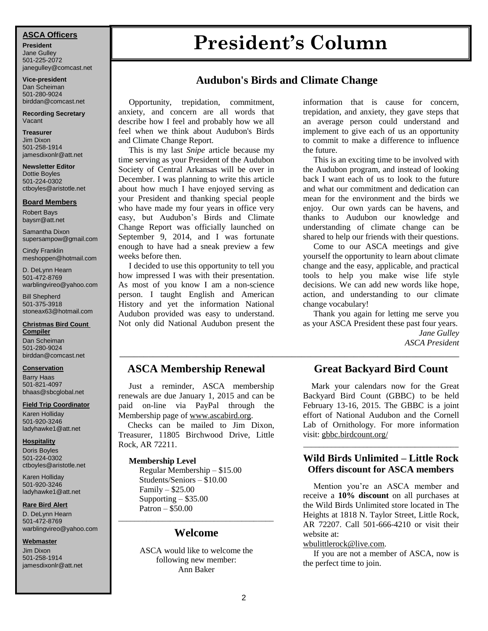**President** Jane Gulley 501-225-2072 janegulley@comcast.net

**Vice-president** Dan Scheiman 501-280-9024 [birddan@comcast.net](mailto:birddan@comcast.net)

**Recording Secretary** Vacant

**Treasurer** Jim Dixon 501-258-1914 jamesdixonlr@att.net

**Newsletter Editor** Dottie Boyles 501-224-0302 ctboyles@aristotle.net

#### **Board Members**

Robert Bays baysrr@att.net

Samantha Dixon supersampow@gmail.com

Cindy Franklin meshoppen@hotmail.com

D. DeLynn Hearn 501-472-8769 warblingvireo@yahoo.com

Bill Shepherd 501-375-3918 stoneax63@hotmail.com

#### **Christmas Bird Count Compiler**

Dan Scheiman 501-280-9024 birddan@comcast.net

#### **Conservation**

Barry Haas 501-821-4097 bhaas@sbcglobal.net

#### **Field Trip Coordinator**

Karen Holliday 501-920-3246 ladyhawke1@att.net

#### **Hospitality**

Doris Boyles 501-224-0302 ctboyles@aristotle.net

Karen Holliday 501-920-3246 ladyhawke1@att.net

#### **Rare Bird Alert**

D. DeLynn Hearn 501-472-8769 warblingvireo@yahoo.com

#### **Webmaster**

Jim Dixon 501-258-1914 jamesdixonlr@att.net

# **President's Column ASCA Officers**

## **Audubon's Birds and Climate Change**

\_\_\_\_\_\_\_\_\_\_\_\_\_\_\_\_\_\_\_\_\_\_\_\_\_\_\_\_\_\_\_\_\_\_\_\_\_\_\_\_\_\_\_\_\_\_\_\_\_\_\_\_\_\_\_\_\_\_\_\_\_\_\_\_\_\_\_\_\_\_\_

 Opportunity, trepidation, commitment, anxiety, and concern are all words that describe how I feel and probably how we all feel when we think about Audubon's Birds and Climate Change Report.

 This is my last *Snipe* article because my time serving as your President of the Audubon Society of Central Arkansas will be over in December. I was planning to write this article about how much I have enjoyed serving as your President and thanking special people who have made my four years in office very easy, but Audubon's Birds and Climate Change Report was officially launched on September 9, 2014, and I was fortunate enough to have had a sneak preview a few weeks before then.

 I decided to use this opportunity to tell you how impressed I was with their presentation. As most of you know I am a non-science person. I taught English and American History and yet the information National Audubon provided was easy to understand. Not only did National Audubon present the

## **ASCA Membership Renewal**

 Just a reminder, ASCA membership renewals are due January 1, 2015 and can be paid on-line via PayPal through the Membership page of [www.ascabird.org](http://www.ascabird.org/).

 Checks can be mailed to Jim Dixon, Treasurer, 11805 Birchwood Drive, Little Rock, AR 72211.

#### **Membership Level**

 Regular Membership – \$15.00 Students/Seniors – \$10.00 Family – \$25.00 Supporting – \$35.00 Patron – \$50.00

## \_\_\_\_\_\_\_\_\_\_\_\_\_\_\_\_\_\_\_\_\_\_\_\_\_\_\_\_\_\_\_\_\_\_\_\_\_\_\_ **Welcome**

ASCA would like to welcome the following new member: Ann Baker

information that is cause for concern, trepidation, and anxiety, they gave steps that an average person could understand and implement to give each of us an opportunity to commit to make a difference to influence the future.

 This is an exciting time to be involved with the Audubon program, and instead of looking back I want each of us to look to the future and what our commitment and dedication can mean for the environment and the birds we enjoy. Our own yards can be havens, and thanks to Audubon our knowledge and understanding of climate change can be shared to help our friends with their questions.

 Come to our ASCA meetings and give yourself the opportunity to learn about climate change and the easy, applicable, and practical tools to help you make wise life style decisions. We can add new words like hope, action, and understanding to our climate change vocabulary!

 Thank you again for letting me serve you as your ASCA President these past four years. *Jane Gulley ASCA President*

## **Great Backyard Bird Count**

 Mark your calendars now for the Great Backyard Bird Count (GBBC) to be held February 13-16, 2015. The GBBC is a joint effort of National Audubon and the Cornell Lab of Ornithology. For more information visit: gbbc.birdcount.org/

## **Wild Birds Unlimited – Little Rock Offers discount for ASCA members**

\_\_\_\_\_\_\_\_\_\_\_\_\_\_\_\_\_\_\_\_\_\_\_\_\_\_\_\_\_\_\_\_\_\_\_\_\_\_\_

 Mention you're an ASCA member and receive a **10% discount** on all purchases at the Wild Birds Unlimited store located in The Heights at 1818 N. Taylor Street, Little Rock, AR 72207. Call 501-666-4210 or visit their website at:

#### [wbulittlerock@live.com.](mailto:wbulittlerock@live.com)

 If you are not a member of ASCA, now is the perfect time to join.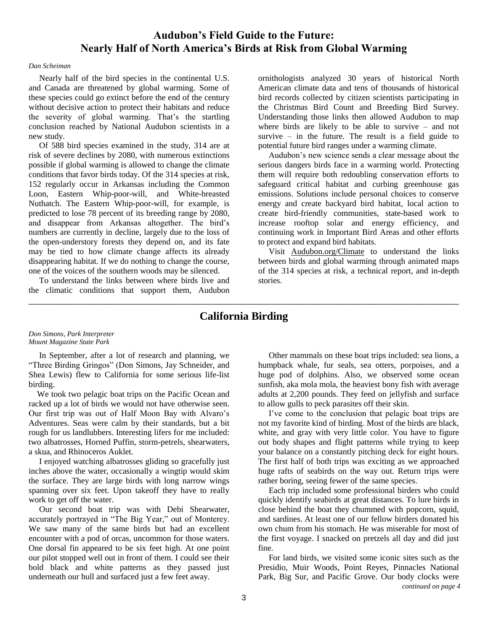## **Audubon's Field Guide to the Future: Nearly Half of North America's Birds at Risk from Global Warming**

#### *Dan Scheiman*

 Nearly half of the bird species in the continental U.S. and Canada are threatened by global warming. Some of these species could go extinct before the end of the century without decisive action to protect their habitats and reduce the severity of global warming. That's the startling conclusion reached by National Audubon scientists in a new study.

 Of 588 bird species examined in the study, 314 are at risk of severe declines by 2080, with numerous extinctions possible if global warming is allowed to change the climate conditions that favor birds today. Of the 314 species at risk, 152 regularly occur in Arkansas including the Common Loon, Eastern Whip-poor-will, and White-breasted Nuthatch. The Eastern Whip-poor-will, for example, is predicted to lose 78 percent of its breeding range by 2080, and disappear from Arkansas altogether. The bird's numbers are currently in decline, largely due to the loss of the open-understory forests they depend on, and its fate may be tied to how climate change affects its already disappearing habitat. If we do nothing to change the course, one of the voices of the southern woods may be silenced.

 To understand the links between where birds live and the climatic conditions that support them, Audubon ornithologists analyzed 30 years of historical North American climate data and tens of thousands of historical bird records collected by citizen scientists participating in the Christmas Bird Count and Breeding Bird Survey. Understanding those links then allowed Audubon to map where birds are likely to be able to survive – and not survive  $-$  in the future. The result is a field guide to potential future bird ranges under a warming climate.

 Audubon's new science sends a clear message about the serious dangers birds face in a warming world. Protecting them will require both redoubling conservation efforts to safeguard critical habitat and curbing greenhouse gas emissions. Solutions include personal choices to conserve energy and create backyard bird habitat, local action to create bird-friendly communities, state-based work to increase rooftop solar and energy efficiency, and continuing work in Important Bird Areas and other efforts to protect and expand bird habitats.

 Visit Audubon.org/Climate to understand the links between birds and global warming through animated maps of the 314 species at risk, a technical report, and in-depth stories.

## \_\_\_\_\_\_\_\_\_\_\_\_\_\_\_\_\_\_\_\_\_\_\_\_\_\_\_\_\_\_\_\_\_\_\_\_\_\_\_\_\_\_\_\_\_\_\_\_\_\_\_\_\_\_\_\_\_\_\_\_\_\_\_\_\_\_\_\_\_\_\_\_\_\_\_\_\_\_\_\_\_\_\_\_\_\_\_\_\_\_ **California Birding**

#### *Don Simons, Park Interpreter Mount Magazine State Park*

 In September, after a lot of research and planning, we "Three Birding Gringos" (Don Simons, Jay Schneider, and Shea Lewis) flew to California for some serious life-list birding.

 We took two pelagic boat trips on the Pacific Ocean and racked up a lot of birds we would not have otherwise seen. Our first trip was out of Half Moon Bay with Alvaro's Adventures. Seas were calm by their standards, but a bit rough for us landlubbers. Interesting lifers for me included: two albatrosses, Horned Puffin, storm-petrels, shearwaters, a skua, and Rhinoceros Auklet.

 I enjoyed watching albatrosses gliding so gracefully just inches above the water, occasionally a wingtip would skim the surface. They are large birds with long narrow wings spanning over six feet. Upon takeoff they have to really work to get off the water.

 Our second boat trip was with Debi Shearwater, accurately portrayed in "The Big Year," out of Monterey. We saw many of the same birds but had an excellent encounter with a pod of orcas, uncommon for those waters. One dorsal fin appeared to be six feet high. At one point our pilot stopped well out in front of them. I could see their bold black and white patterns as they passed just underneath our hull and surfaced just a few feet away.

 Other mammals on these boat trips included: sea lions, a humpback whale, fur seals, sea otters, porpoises, and a huge pod of dolphins. Also, we observed some ocean sunfish, aka mola mola, the heaviest bony fish with average adults at 2,200 pounds. They feed on jellyfish and surface to allow gulls to peck parasites off their skin.

 I've come to the conclusion that pelagic boat trips are not my favorite kind of birding. Most of the birds are black, white, and gray with very little color. You have to figure out body shapes and flight patterns while trying to keep your balance on a constantly pitching deck for eight hours. The first half of both trips was exciting as we approached huge rafts of seabirds on the way out. Return trips were rather boring, seeing fewer of the same species.

 Each trip included some professional birders who could quickly identify seabirds at great distances. To lure birds in close behind the boat they chummed with popcorn, squid, and sardines. At least one of our fellow birders donated his own chum from his stomach. He was miserable for most of the first voyage. I snacked on pretzels all day and did just fine.

 For land birds, we visited some iconic sites such as the Presidio, Muir Woods, Point Reyes, Pinnacles National Park, Big Sur, and Pacific Grove. Our body clocks were c *continued on page 4*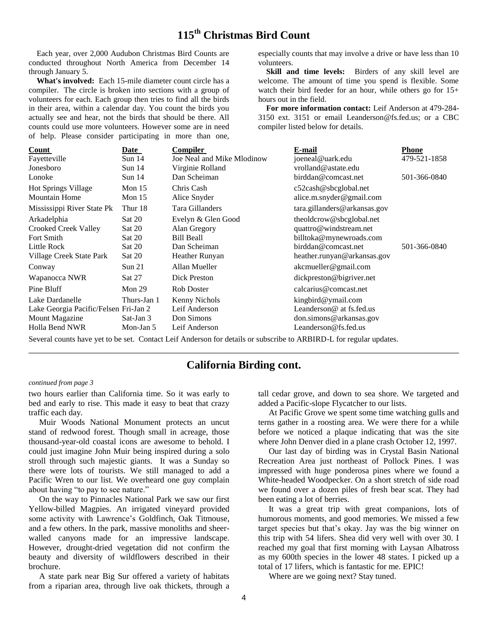## **115th Christmas Bird Count**

 Each year, over 2,000 Audubon Christmas Bird Counts are conducted throughout North America from December 14 through January 5.

 **What's involved:** Each 15-mile diameter count circle has a compiler. The circle is broken into sections with a group of volunteers for each. Each group then tries to find all the birds in their area, within a calendar day. You count the birds you actually see and hear, not the birds that should be there. All counts could use more volunteers. However some are in need of help. Please consider participating in more than one, especially counts that may involve a drive or have less than 10 volunteers.

**Skill and time levels:** Birders of any skill level are welcome. The amount of time you spend is flexible. Some watch their bird feeder for an hour, while others go for 15+ hours out in the field.

 **For more information contact:** Leif Anderson at 479-284- 3150 ext. 3151 or email Leanderson@fs.fed.us; or a CBC compiler listed below for details.

| Count                                 | Date              | Compiler                   | E-mail                                | <b>Phone</b> |
|---------------------------------------|-------------------|----------------------------|---------------------------------------|--------------|
| Fayetteville                          | Sun <sub>14</sub> | Joe Neal and Mike Mlodinow | joeneal@uark.edu                      | 479-521-1858 |
| Jonesboro                             | Sun <sub>14</sub> | Virginie Rolland           | vrolland@astate.edu                   |              |
| Lonoke                                | Sun <sub>14</sub> | Dan Scheiman               | birddan@comcast.net                   | 501-366-0840 |
| <b>Hot Springs Village</b>            | Mon $15$          | Chris Cash                 | $c52$ cash@sbcglobal.net              |              |
| <b>Mountain Home</b>                  | Mon $15$          | Alice Snyder               | alice.m.snyder@gmail.com              |              |
| Mississippi River State Pk            | Thur 18           | Tara Gillanders            | $\arctan$ , gillanders @ arkansas.gov |              |
| Arkadelphia                           | Sat 20            | Evelyn & Glen Good         | theoldcrow@sbcglobal.net              |              |
| <b>Crooked Creek Valley</b>           | Sat 20            | Alan Gregory               | quattro@windstream.net                |              |
| Fort Smith                            | Sat 20            | <b>Bill Beall</b>          | billtoka@mynewroads.com               |              |
| Little Rock                           | Sat 20            | Dan Scheiman               | birddan@comcast.net                   | 501-366-0840 |
| Village Creek State Park              | Sat 20            | Heather Runyan             | heather.runyan@arkansas.gov           |              |
| Conway                                | Sun 21            | Allan Mueller              | akcmueller@gmail.com                  |              |
| Wapanocca NWR                         | Sat 27            | Dick Preston               | dickpreston@bigriver.net              |              |
| Pine Bluff                            | Mon $29$          | <b>Rob Doster</b>          | calcarius@comcast.net                 |              |
| Lake Dardanelle                       | Thurs-Jan 1       | Kenny Nichols              | kingbird@ymail.com                    |              |
| Lake Georgia Pacific/Felsen Fri-Jan 2 |                   | Leif Anderson              | Leanderson@ at fs.fed.us              |              |
| <b>Mount Magazine</b>                 | Sat-Jan 3         | Don Simons                 | don.simons@arkansas.gov               |              |
| Holla Bend NWR                        | Mon-Jan 5         | Leif Anderson              | Leanderson @ fs. fed.us               |              |

Several counts have yet to be set. Contact Leif Anderson for details or subscribe to ARBIRD-L for regular updates.

## **California Birding cont.**

\_\_\_\_\_\_\_\_\_\_\_\_\_\_\_\_\_\_\_\_\_\_\_\_\_\_\_\_\_\_\_\_\_\_\_\_\_\_\_\_\_\_\_\_\_\_\_\_\_\_\_\_\_\_\_\_\_\_\_\_\_\_\_\_\_\_\_\_\_\_\_\_\_\_\_\_\_\_\_\_\_\_\_\_\_\_\_\_\_\_

#### *continued from page 3*

two hours earlier than California time. So it was early to bed and early to rise. This made it easy to beat that crazy traffic each day.

 Muir Woods National Monument protects an uncut stand of redwood forest. Though small in acreage, those thousand-year-old coastal icons are awesome to behold. I could just imagine John Muir being inspired during a solo stroll through such majestic giants. It was a Sunday so there were lots of tourists. We still managed to add a Pacific Wren to our list. We overheard one guy complain about having "to pay to see nature."

 On the way to Pinnacles National Park we saw our first Yellow-billed Magpies. An irrigated vineyard provided some activity with Lawrence's Goldfinch, Oak Titmouse, and a few others. In the park, massive monoliths and sheerwalled canyons made for an impressive landscape. However, drought-dried vegetation did not confirm the beauty and diversity of wildflowers described in their brochure.

 A state park near Big Sur offered a variety of habitats from a riparian area, through live oak thickets, through a tall cedar grove, and down to sea shore. We targeted and added a Pacific-slope Flycatcher to our lists.

 At Pacific Grove we spent some time watching gulls and terns gather in a roosting area. We were there for a while before we noticed a plaque indicating that was the site where John Denver died in a plane crash October 12, 1997.

 Our last day of birding was in Crystal Basin National Recreation Area just northeast of Pollock Pines. I was impressed with huge ponderosa pines where we found a White-headed Woodpecker. On a short stretch of side road we found over a dozen piles of fresh bear scat. They had been eating a lot of berries.

 It was a great trip with great companions, lots of humorous moments, and good memories. We missed a few target species but that's okay. Jay was the big winner on this trip with 54 lifers. Shea did very well with over 30. I reached my goal that first morning with Laysan Albatross as my 600th species in the lower 48 states. I picked up a total of 17 lifers, which is fantastic for me. EPIC!

Where are we going next? Stay tuned.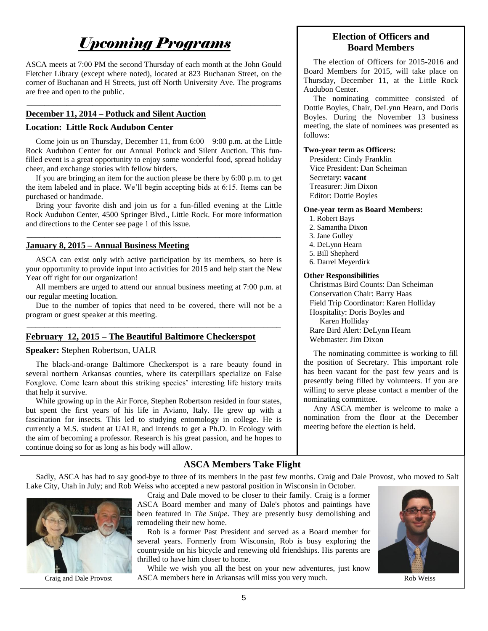# *Upcoming Programs*

ASCA meets at 7:00 PM the second Thursday of each month at the John Gould Fletcher Library (except where noted), located at 823 Buchanan Street, on the corner of Buchanan and H Streets, just off North University Ave. The programs are free and open to the public.

\_\_\_\_\_\_\_\_\_\_\_\_\_\_\_\_\_\_\_\_\_\_\_\_\_\_\_\_\_\_\_\_\_\_\_\_\_\_\_\_\_\_\_\_\_\_\_\_\_\_\_\_\_\_\_\_\_\_

#### **December 11, 2014 – Potluck and Silent Auction**

#### **Location: Little Rock Audubon Center**

 Come join us on Thursday, December 11, from 6:00 – 9:00 p.m. at the Little Rock Audubon Center for our Annual Potluck and Silent Auction. This funfilled event is a great opportunity to enjoy some wonderful food, spread holiday cheer, and exchange stories with fellow birders.

 If you are bringing an item for the auction please be there by 6:00 p.m. to get the item labeled and in place. We'll begin accepting bids at 6:15. Items can be purchased or handmade.

 Bring your favorite dish and join us for a fun-filled evening at the Little Rock Audubon Center, 4500 Springer Blvd., Little Rock. For more information and directions to the Center see page 1 of this issue.

\_\_\_\_\_\_\_\_\_\_\_\_\_\_\_\_\_\_\_\_\_\_\_\_\_\_\_\_\_\_\_\_\_\_\_\_\_\_\_\_\_\_\_\_\_\_\_\_\_\_\_\_\_\_\_\_\_\_

#### **January 8, 2015 – Annual Business Meeting**

 ASCA can exist only with active participation by its members, so here is your opportunity to provide input into activities for 2015 and help start the New Year off right for our organization!

 All members are urged to attend our annual business meeting at 7:00 p.m. at our regular meeting location.

 Due to the number of topics that need to be covered, there will not be a program or guest speaker at this meeting. \_\_\_\_\_\_\_\_\_\_\_\_\_\_\_\_\_\_\_\_\_\_\_\_\_\_\_\_\_\_\_\_\_\_\_\_\_\_\_\_\_\_\_\_\_\_\_\_\_\_\_\_\_\_\_\_\_\_

#### **February 12, 2015 – The Beautiful Baltimore Checkerspot**

#### **Speaker:** Stephen Robertson, UALR

 The black-and-orange Baltimore Checkerspot is a rare beauty found in several northern Arkansas counties, where its caterpillars specialize on False Foxglove. Come learn about this striking species' interesting life history traits that help it survive.

 While growing up in the Air Force, Stephen Robertson resided in four states, but spent the first years of his life in Aviano, Italy. He grew up with a fascination for insects. This led to studying entomology in college. He is currently a M.S. student at UALR, and intends to get a Ph.D. in Ecology with the aim of becoming a professor. Research is his great passion, and he hopes to continue doing so for as long as his body will allow.

## **Election of Officers and Board Members**

 The election of Officers for 2015-2016 and Board Members for 2015, will take place on Thursday, December 11, at the Little Rock Audubon Center.

 The nominating committee consisted of Dottie Boyles, Chair, DeLynn Hearn, and Doris Boyles. During the November 13 business meeting, the slate of nominees was presented as follows:

#### **Two-year term as Officers:**

 President: Cindy Franklin Vice President: Dan Scheiman Secretary: **vacant**  Treasurer: Jim Dixon Editor: Dottie Boyles

#### **One-year term as Board Members:**

- 1. Robert Bays
	- 2. Samantha Dixon
- 3. Jane Gulley
- 4. DeLynn Hearn
- 5. Bill Shepherd
- 6. Darrel Meyerdirk

#### **Other Responsibilities**

 Christmas Bird Counts: Dan Scheiman Conservation Chair: Barry Haas Field Trip Coordinator: Karen Holliday Hospitality: Doris Boyles and Karen Holliday Rare Bird Alert: DeLynn Hearn Webmaster: Jim Dixon

 The nominating committee is working to fill the position of Secretary. This important role has been vacant for the past few years and is presently being filled by volunteers. If you are willing to serve please contact a member of the nominating committee.

 Any ASCA member is welcome to make a nomination from the floor at the December meeting before the election is held.

## **ASCA Members Take Flight**

 Sadly, ASCA has had to say good-bye to three of its members in the past few months. Craig and Dale Provost, who moved to Salt Lake City, Utah in July; and Rob Weiss who accepted a new pastoral position in Wisconsin in October.



 Craig and Dale moved to be closer to their family. Craig is a former ASCA Board member and many of Dale's photos and paintings have been featured in *The Snipe*. They are presently busy demolishing and remodeling their new home.

 Rob is a former Past President and served as a Board member for several years. Formerly from Wisconsin, Rob is busy exploring the countryside on his bicycle and renewing old friendships. His parents are thrilled to have him closer to home.

 While we wish you all the best on your new adventures, just know Craig and Dale Provost ASCA members here in Arkansas will miss you very much. Rob Weiss

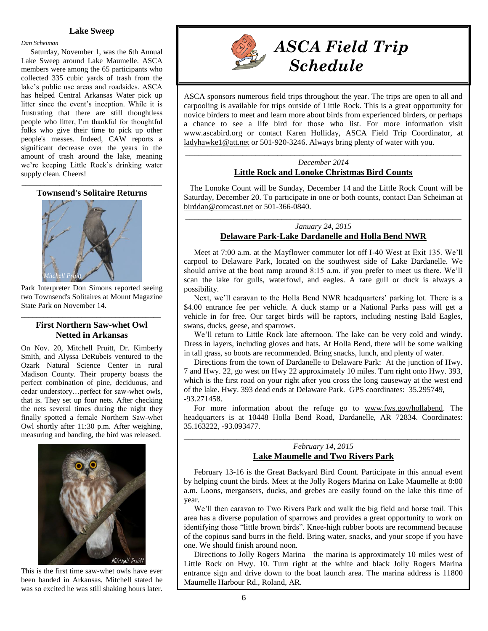#### *Dan Scheiman*

 Saturday, November 1, was the 6th Annual Lake Sweep around Lake Maumelle. ASCA members were among the 65 participants who collected 335 cubic yards of trash from the lake's public use areas and roadsides. ASCA has helped Central Arkansas Water pick up litter since the event's inception. While it is frustrating that there are still thoughtless people who litter, I'm thankful for thoughtful folks who give their time to pick up other people's messes. Indeed, CAW reports a significant decrease over the years in the amount of trash around the lake, meaning we're keeping Little Rock's drinking water supply clean. Cheers!

\_\_\_\_\_\_\_\_\_\_\_\_\_\_\_\_\_\_\_\_\_\_\_\_\_\_\_\_\_\_\_\_\_\_\_\_\_ **Townsend's Solitaire Returns**



Park Interpreter Don Simons reported seeing two Townsend's Solitaires at Mount Magazine State Park on November 14.

#### \_\_\_\_\_\_\_\_\_\_\_\_\_\_\_\_\_\_\_\_\_\_\_\_\_\_\_\_\_\_\_\_\_\_\_\_\_ **First Northern Saw-whet Owl Netted in Arkansas**

On Nov. 20, Mitchell Pruitt, Dr. Kimberly Smith, and Alyssa DeRubeis ventured to the Ozark Natural Science Center in rural Madison County. Their property boasts the perfect combination of pine, deciduous, and cedar understory…perfect for saw-whet owls, that is. They set up four nets. After checking the nets several times during the night they finally spotted a female Northern Saw-whet Owl shortly after 11:30 p.m. After weighing, measuring and banding, the bird was released.



This is the first time saw-whet owls have ever been banded in Arkansas. Mitchell stated he was so excited he was still shaking hours later.



## *ASCA Field Trip Schedule*

ASCA sponsors numerous field trips throughout the year. The trips are open to all and carpooling is available for trips outside of Little Rock. This is a great opportunity for novice birders to meet and learn more about birds from experienced birders, or perhaps a chance to see a life bird for those who list. For more information visit [www.ascabird.org](http://www.ascabird.org/) or contact Karen Holliday, ASCA Field Trip Coordinator, at [ladyhawke1@att.net](mailto:ladyhawke1@att.net) or 501-920-3246. Always bring plenty of water with you.

#### \_\_\_\_\_\_\_\_\_\_\_\_\_\_\_\_\_\_\_\_\_\_\_\_\_\_\_\_\_\_\_\_\_\_\_\_\_\_\_\_\_\_\_\_\_\_\_\_\_\_\_\_\_\_\_\_\_\_\_\_\_\_\_ *December 2014* **Little Rock and Lonoke Christmas Bird Counts**

 The Lonoke Count will be Sunday, December 14 and the Little Rock Count will be Saturday, December 20. To participate in one or both counts, contact Dan Scheiman at [birddan@comcast.net](mailto:birddan@comcast.net) or 501-366-0840.

### *January 24, 2015* **Delaware Park-Lake Dardanelle and Holla Bend NWR**

\_\_\_\_\_\_\_\_\_\_\_\_\_\_\_\_\_\_\_\_\_\_\_\_\_\_\_\_\_\_\_\_\_\_\_\_\_\_\_\_\_\_\_\_\_\_\_\_\_\_\_\_\_\_\_\_\_\_\_\_\_\_\_

 Meet at 7:00 a.m. at the Mayflower commuter lot off I-40 West at Exit 135. We'll carpool to Delaware Park, located on the southwest side of Lake Dardanelle. We should arrive at the boat ramp around 8:15 a.m. if you prefer to meet us there. We'll scan the lake for gulls, waterfowl, and eagles. A rare gull or duck is always a possibility.

 Next, we'll caravan to the Holla Bend NWR headquarters' parking lot. There is a \$4.00 entrance fee per vehicle. A duck stamp or a National Parks pass will get a vehicle in for free. Our target birds will be raptors, including nesting Bald Eagles, swans, ducks, geese, and sparrows.

 We'll return to Little Rock late afternoon. The lake can be very cold and windy. Dress in layers, including gloves and hats. At Holla Bend, there will be some walking in tall grass, so boots are recommended. Bring snacks, lunch, and plenty of water.

 Directions from the town of Dardanelle to Delaware Park: At the junction of Hwy. 7 and Hwy. 22, go west on Hwy 22 approximately 10 miles. Turn right onto Hwy. 393, which is the first road on your right after you cross the long causeway at the west end of the lake. Hwy. 393 dead ends at Delaware Park. GPS coordinates: 35.295749, -93.271458.

 For more information about the refuge go to [www.fws.gov/hollabend.](http://www.fws.gov/hollabend) The headquarters is at 10448 Holla Bend Road, Dardanelle, AR 72834. Coordinates: 35.163222, -93.093477.

#### \_\_\_\_\_\_\_\_\_\_\_\_\_\_\_\_\_\_\_\_\_\_\_\_\_\_\_\_\_\_\_\_\_\_\_\_\_\_\_\_\_\_\_\_\_\_\_\_\_\_\_\_\_\_\_\_\_\_\_\_\_\_\_ *February 14, 2015* **Lake Maumelle and Two Rivers Park**

 February 13-16 is the Great Backyard Bird Count. Participate in this annual event by helping count the birds. Meet at the Jolly Rogers Marina on Lake Maumelle at 8:00 a.m. Loons, mergansers, ducks, and grebes are easily found on the lake this time of year.

 We'll then caravan to Two Rivers Park and walk the big field and horse trail. This area has a diverse population of sparrows and provides a great opportunity to work on identifying those "little brown birds". Knee-high rubber boots are recommend because of the copious sand burrs in the field. Bring water, snacks, and your scope if you have one. We should finish around noon.

 Directions to Jolly Rogers Marina—the marina is approximately 10 miles west of Little Rock on Hwy. 10. Turn right at the white and black Jolly Rogers Marina entrance sign and drive down to the boat launch area. The marina address is 11800 Maumelle Harbour Rd., Roland, AR.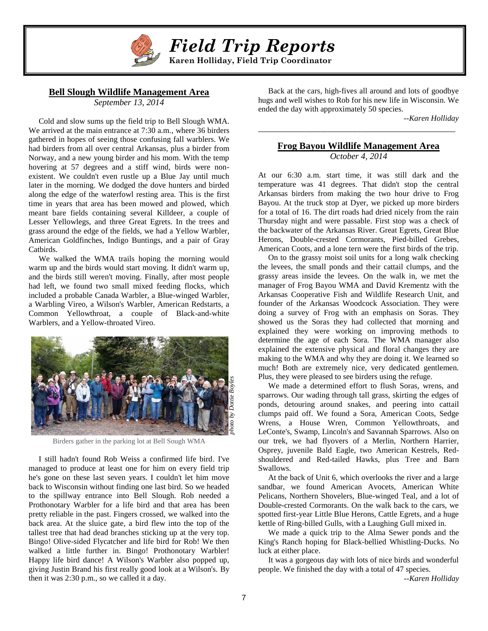

 *Field Trip Reports*

 **Karen Holliday, Field Trip Coordinator**

#### **Bell Slough Wildlife Management Area**

*September 13, 2014*

 Cold and slow sums up the field trip to Bell Slough WMA. We arrived at the main entrance at 7:30 a.m., where 36 birders gathered in hopes of seeing those confusing fall warblers. We had birders from all over central Arkansas, plus a birder from Norway, and a new young birder and his mom. With the temp hovering at 57 degrees and a stiff wind, birds were nonexistent. We couldn't even rustle up a Blue Jay until much later in the morning. We dodged the dove hunters and birded along the edge of the waterfowl resting area. This is the first time in years that area has been mowed and plowed, which meant bare fields containing several Killdeer, a couple of Lesser Yellowlegs, and three Great Egrets. In the trees and grass around the edge of the fields, we had a Yellow Warbler, American Goldfinches, Indigo Buntings, and a pair of Gray Catbirds.

 We walked the WMA trails hoping the morning would warm up and the birds would start moving. It didn't warm up, and the birds still weren't moving. Finally, after most people had left, we found two small mixed feeding flocks, which included a probable Canada Warbler, a Blue-winged Warbler, a Warbling Vireo, a Wilson's Warbler, American Redstarts, a Common Yellowthroat, a couple of Black-and-white Warblers, and a Yellow-throated Vireo.



Birders gather in the parking lot at Bell Sough WMA

 I still hadn't found Rob Weiss a confirmed life bird. I've managed to produce at least one for him on every field trip he's gone on these last seven years. I couldn't let him move back to Wisconsin without finding one last bird. So we headed to the spillway entrance into Bell Slough. Rob needed a Prothonotary Warbler for a life bird and that area has been pretty reliable in the past. Fingers crossed, we walked into the back area. At the sluice gate, a bird flew into the top of the tallest tree that had dead branches sticking up at the very top. Bingo! Olive-sided Flycatcher and life bird for Rob! We then walked a little further in. Bingo! Prothonotary Warbler! Happy life bird dance! A Wilson's Warbler also popped up, giving Justin Brand his first really good look at a Wilson's. By then it was 2:30 p.m., so we called it a day.

 Back at the cars, high-fives all around and lots of goodbye hugs and well wishes to Rob for his new life in Wisconsin. We ended the day with approximately 50 species.

*--Karen Holliday*

#### **Frog Bayou Wildlife Management Area** *October 4, 2014*

*\_\_\_\_\_\_\_\_\_\_\_\_\_\_\_\_\_\_\_\_\_\_\_\_\_\_\_\_\_\_\_\_\_\_\_\_\_\_\_\_\_\_\_\_\_*

At our 6:30 a.m. start time, it was still dark and the temperature was 41 degrees. That didn't stop the central Arkansas birders from making the two hour drive to Frog Bayou. At the truck stop at Dyer, we picked up more birders for a total of 16. The dirt roads had dried nicely from the rain Thursday night and were passable. First stop was a check of the backwater of the Arkansas River. Great Egrets, Great Blue Herons, Double-crested Cormorants, Pied-billed Grebes, American Coots, and a lone tern were the first birds of the trip.

 On to the grassy moist soil units for a long walk checking the levees, the small ponds and their cattail clumps, and the grassy areas inside the levees. On the walk in, we met the manager of Frog Bayou WMA and David Krementz with the Arkansas Cooperative Fish and Wildlife Research Unit, and founder of the Arkansas Woodcock Association. They were doing a survey of Frog with an emphasis on Soras. They showed us the Soras they had collected that morning and explained they were working on improving methods to determine the age of each Sora. The WMA manager also explained the extensive physical and floral changes they are making to the WMA and why they are doing it. We learned so much! Both are extremely nice, very dedicated gentlemen. Plus, they were pleased to see birders using the refuge.

 We made a determined effort to flush Soras, wrens, and sparrows. Our wading through tall grass, skirting the edges of ponds, detouring around snakes, and peering into cattail clumps paid off. We found a Sora, American Coots, Sedge Wrens, a House Wren, Common Yellowthroats, and LeConte's, Swamp, Lincoln's and Savannah Sparrows. Also on our trek, we had flyovers of a Merlin, Northern Harrier, Osprey, juvenile Bald Eagle, two American Kestrels, Redshouldered and Red-tailed Hawks, plus Tree and Barn Swallows.

 At the back of Unit 6, which overlooks the river and a large sandbar, we found American Avocets, American White Pelicans, Northern Shovelers, Blue-winged Teal, and a lot of Double-crested Cormorants. On the walk back to the cars, we spotted first-year Little Blue Herons, Cattle Egrets, and a huge kettle of Ring-billed Gulls, with a Laughing Gull mixed in.

 We made a quick trip to the Alma Sewer ponds and the King's Ranch hoping for Black-bellied Whistling-Ducks. No luck at either place.

 It was a gorgeous day with lots of nice birds and wonderful people. We finished the day with a total of 47 species.

*--Karen Holliday*